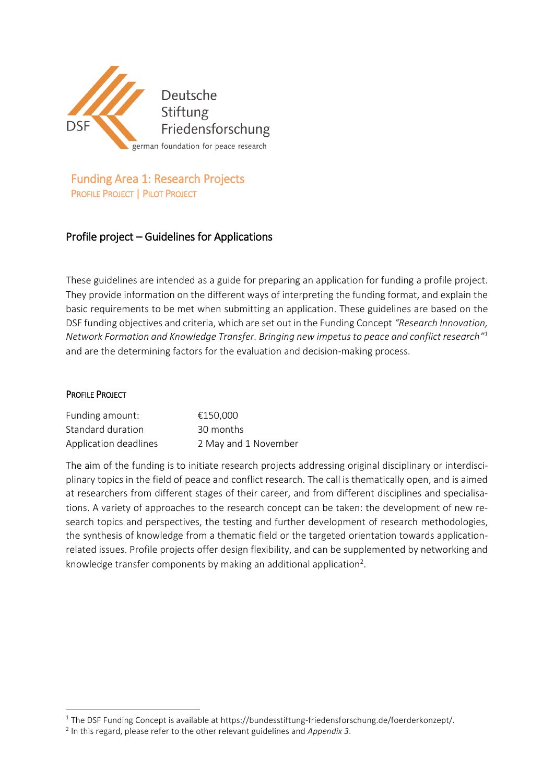

Funding Area 1: Research Projects PROFILE PROJECT | PILOT PROJECT

## Profile project – Guidelines for Applications

These guidelines are intended as a guide for preparing an application for funding a profile project. They provide information on the different ways of interpreting the funding format, and explain the basic requirements to be met when submitting an application. These guidelines are based on the DSF funding objectives and criteria, which are set out in the Funding Concept *"Research Innovation, Network Formation and Knowledge Transfer. Bringing new impetus to peace and conflict research" 1* and are the determining factors for the evaluation and decision-making process.

#### PROFILE PROJECT

1

| Funding amount:       | €150.000             |
|-----------------------|----------------------|
| Standard duration     | 30 months            |
| Application deadlines | 2 May and 1 November |

The aim of the funding is to initiate research projects addressing original disciplinary or interdisciplinary topics in the field of peace and conflict research. The call is thematically open, and is aimed at researchers from different stages of their career, and from different disciplines and specialisations. A variety of approaches to the research concept can be taken: the development of new research topics and perspectives, the testing and further development of research methodologies, the synthesis of knowledge from a thematic field or the targeted orientation towards applicationrelated issues. Profile projects offer design flexibility, and can be supplemented by networking and knowledge transfer components by making an additional application<sup>2</sup>.

 $1$  The DSF Funding Concept is available at https://bundesstiftung-friedensforschung.de/foerderkonzept/.

<sup>2</sup> In this regard, please refer to the other relevant guidelines and *Appendix 3*.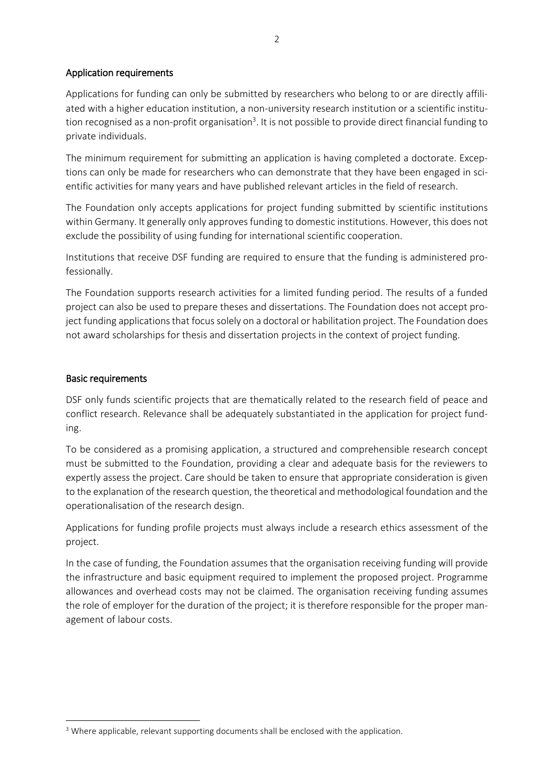## Application requirements

Applications for funding can only be submitted by researchers who belong to or are directly affiliated with a higher education institution, a non-university research institution or a scientific institution recognised as a non-profit organisation<sup>3</sup>. It is not possible to provide direct financial funding to private individuals.

The minimum requirement for submitting an application is having completed a doctorate. Exceptions can only be made for researchers who can demonstrate that they have been engaged in scientific activities for many years and have published relevant articles in the field of research.

The Foundation only accepts applications for project funding submitted by scientific institutions within Germany. It generally only approves funding to domestic institutions. However, this does not exclude the possibility of using funding for international scientific cooperation.

Institutions that receive DSF funding are required to ensure that the funding is administered professionally.

The Foundation supports research activities for a limited funding period. The results of a funded project can also be used to prepare theses and dissertations. The Foundation does not accept project funding applications that focus solely on a doctoral or habilitation project. The Foundation does not award scholarships for thesis and dissertation projects in the context of project funding.

## Basic requirements

DSF only funds scientific projects that are thematically related to the research field of peace and conflict research. Relevance shall be adequately substantiated in the application for project funding.

To be considered as a promising application, a structured and comprehensible research concept must be submitted to the Foundation, providing a clear and adequate basis for the reviewers to expertly assess the project. Care should be taken to ensure that appropriate consideration is given to the explanation of the research question, the theoretical and methodological foundation and the operationalisation of the research design.

Applications for funding profile projects must always include a research ethics assessment of the project.

In the case of funding, the Foundation assumes that the organisation receiving funding will provide the infrastructure and basic equipment required to implement the proposed project. Programme allowances and overhead costs may not be claimed. The organisation receiving funding assumes the role of employer for the duration of the project; it is therefore responsible for the proper management of labour costs.

**<sup>.</sup>**  $3$  Where applicable, relevant supporting documents shall be enclosed with the application.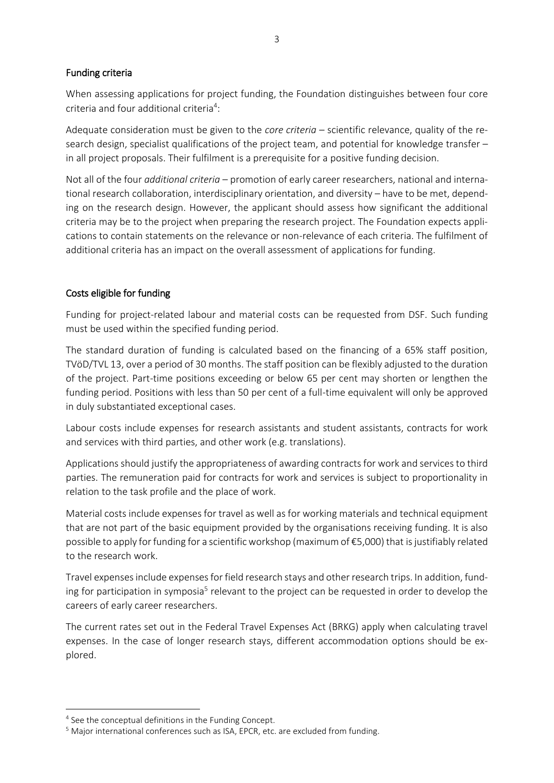#### Funding criteria

When assessing applications for project funding, the Foundation distinguishes between four core criteria and four additional criteria<sup>4</sup>:

Adequate consideration must be given to the *core criteria* – scientific relevance, quality of the research design, specialist qualifications of the project team, and potential for knowledge transfer – in all project proposals. Their fulfilment is a prerequisite for a positive funding decision.

Not all of the four *additional criteria* – promotion of early career researchers, national and international research collaboration, interdisciplinary orientation, and diversity – have to be met, depending on the research design. However, the applicant should assess how significant the additional criteria may be to the project when preparing the research project. The Foundation expects applications to contain statements on the relevance or non-relevance of each criteria. The fulfilment of additional criteria has an impact on the overall assessment of applications for funding.

## Costs eligible for funding

Funding for project-related labour and material costs can be requested from DSF. Such funding must be used within the specified funding period.

The standard duration of funding is calculated based on the financing of a 65% staff position, TVöD/TVL 13, over a period of 30 months. The staff position can be flexibly adjusted to the duration of the project. Part-time positions exceeding or below 65 per cent may shorten or lengthen the funding period. Positions with less than 50 per cent of a full-time equivalent will only be approved in duly substantiated exceptional cases.

Labour costs include expenses for research assistants and student assistants, contracts for work and services with third parties, and other work (e.g. translations).

Applications should justify the appropriateness of awarding contracts for work and services to third parties. The remuneration paid for contracts for work and services is subject to proportionality in relation to the task profile and the place of work.

Material costs include expenses for travel as well as for working materials and technical equipment that are not part of the basic equipment provided by the organisations receiving funding. It is also possible to apply for funding for a scientific workshop (maximum of €5,000) that is justifiably related to the research work.

Travel expenses include expenses for field research stays and other research trips. In addition, funding for participation in symposia<sup>5</sup> relevant to the project can be requested in order to develop the careers of early career researchers.

The current rates set out in the Federal Travel Expenses Act (BRKG) apply when calculating travel expenses. In the case of longer research stays, different accommodation options should be explored.

1

<sup>4</sup> See the conceptual definitions in the Funding Concept.

<sup>&</sup>lt;sup>5</sup> Major international conferences such as ISA, EPCR, etc. are excluded from funding.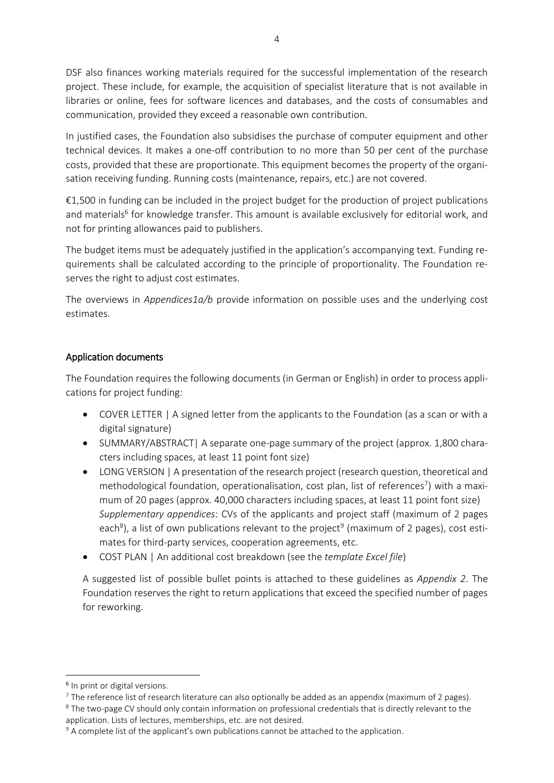DSF also finances working materials required for the successful implementation of the research project. These include, for example, the acquisition of specialist literature that is not available in libraries or online, fees for software licences and databases, and the costs of consumables and communication, provided they exceed a reasonable own contribution.

In justified cases, the Foundation also subsidises the purchase of computer equipment and other technical devices. It makes a one-off contribution to no more than 50 per cent of the purchase costs, provided that these are proportionate. This equipment becomes the property of the organisation receiving funding. Running costs (maintenance, repairs, etc.) are not covered.

€1,500 in funding can be included in the project budget for the production of project publications and materials<sup>6</sup> for knowledge transfer. This amount is available exclusively for editorial work, and not for printing allowances paid to publishers.

The budget items must be adequately justified in the application's accompanying text. Funding requirements shall be calculated according to the principle of proportionality. The Foundation reserves the right to adjust cost estimates.

The overviews in *Appendices1a/b* provide information on possible uses and the underlying cost estimates.

## Application documents

The Foundation requires the following documents (in German or English) in order to process applications for project funding:

- COVER LETTER | A signed letter from the applicants to the Foundation (as a scan or with a digital signature)
- SUMMARY/ABSTRACT| A separate one-page summary of the project (approx. 1,800 characters including spaces, at least 11 point font size)
- LONG VERSION | A presentation of the research project (research question, theoretical and methodological foundation, operationalisation, cost plan, list of references<sup>7</sup>) with a maximum of 20 pages (approx. 40,000 characters including spaces, at least 11 point font size) *Supplementary appendices*: CVs of the applicants and project staff (maximum of 2 pages each<sup>8</sup>), a list of own publications relevant to the project<sup>9</sup> (maximum of 2 pages), cost estimates for third-party services, cooperation agreements, etc.
- COST PLAN | An additional cost breakdown (see the *template Excel file*)

A suggested list of possible bullet points is attached to these guidelines as *Appendix 2*. The Foundation reserves the right to return applications that exceed the specified number of pages for reworking.

1

<sup>&</sup>lt;sup>6</sup> In print or digital versions.

<sup>&</sup>lt;sup>7</sup> The reference list of research literature can also optionally be added as an appendix (maximum of 2 pages).

<sup>&</sup>lt;sup>8</sup> The two-page CV should only contain information on professional credentials that is directly relevant to the application. Lists of lectures, memberships, etc. are not desired.

 $9$  A complete list of the applicant's own publications cannot be attached to the application.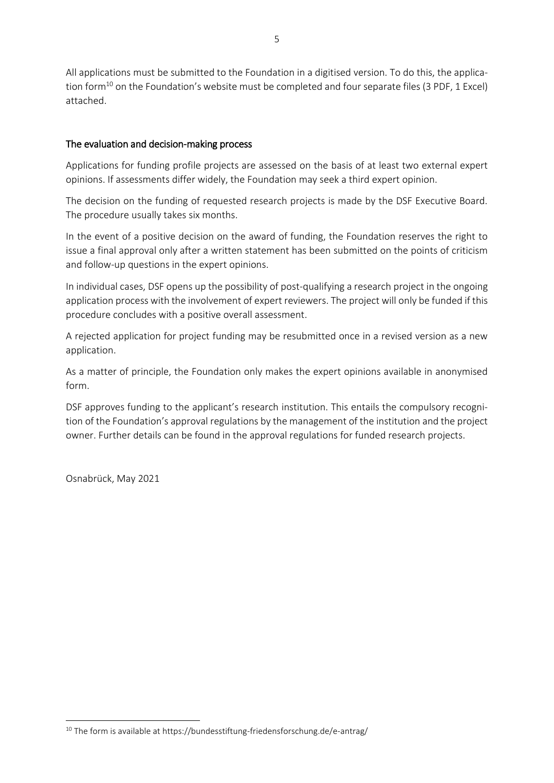All applications must be submitted to the Foundation in a digitised version. To do this, the application form<sup>10</sup> on the Foundation's website must be completed and four separate files (3 PDF, 1 Excel) attached.

#### The evaluation and decision-making process

Applications for funding profile projects are assessed on the basis of at least two external expert opinions. If assessments differ widely, the Foundation may seek a third expert opinion.

The decision on the funding of requested research projects is made by the DSF Executive Board. The procedure usually takes six months.

In the event of a positive decision on the award of funding, the Foundation reserves the right to issue a final approval only after a written statement has been submitted on the points of criticism and follow-up questions in the expert opinions.

In individual cases, DSF opens up the possibility of post-qualifying a research project in the ongoing application process with the involvement of expert reviewers. The project will only be funded if this procedure concludes with a positive overall assessment.

A rejected application for project funding may be resubmitted once in a revised version as a new application.

As a matter of principle, the Foundation only makes the expert opinions available in anonymised form.

DSF approves funding to the applicant's research institution. This entails the compulsory recognition of the Foundation's approval regulations by the management of the institution and the project owner. Further details can be found in the approval regulations for funded research projects.

Osnabrück, May 2021

**.** 

 $10$  The form is available at https://bundesstiftung-friedensforschung.de/e-antrag/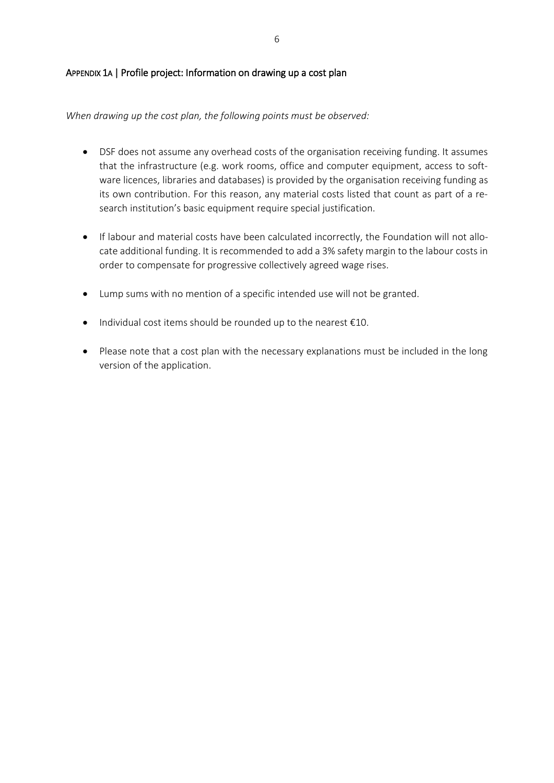#### APPENDIX 1A | Profile project: Information on drawing up a cost plan

#### *When drawing up the cost plan, the following points must be observed:*

- DSF does not assume any overhead costs of the organisation receiving funding. It assumes that the infrastructure (e.g. work rooms, office and computer equipment, access to software licences, libraries and databases) is provided by the organisation receiving funding as its own contribution. For this reason, any material costs listed that count as part of a research institution's basic equipment require special justification.
- If labour and material costs have been calculated incorrectly, the Foundation will not allocate additional funding. It is recommended to add a 3% safety margin to the labour costs in order to compensate for progressive collectively agreed wage rises.
- Lump sums with no mention of a specific intended use will not be granted.
- $\bullet$  Individual cost items should be rounded up to the nearest  $\epsilon$ 10.
- Please note that a cost plan with the necessary explanations must be included in the long version of the application.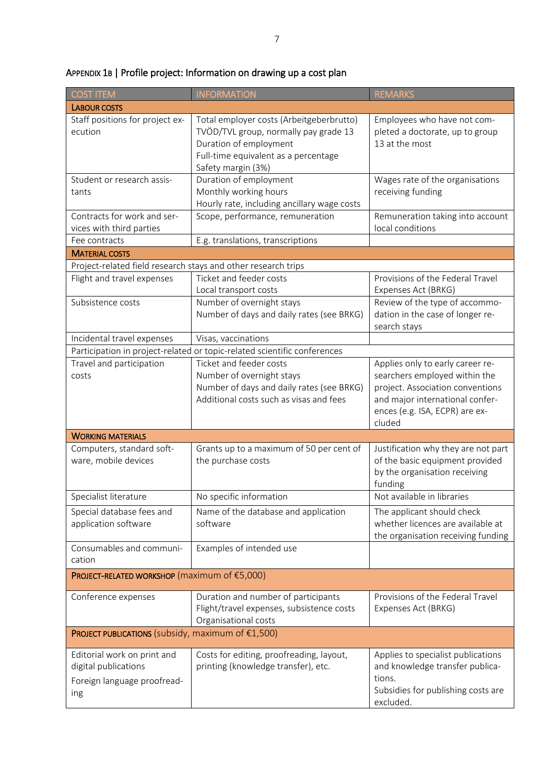| <b>COST ITEM</b>                                                                          | <b>INFORMATION</b>                                                                                                                                                        | <b>REMARKS</b>                                                                                                                                                                       |
|-------------------------------------------------------------------------------------------|---------------------------------------------------------------------------------------------------------------------------------------------------------------------------|--------------------------------------------------------------------------------------------------------------------------------------------------------------------------------------|
| <b>LABOUR COSTS</b>                                                                       |                                                                                                                                                                           |                                                                                                                                                                                      |
| Staff positions for project ex-<br>ecution                                                | Total employer costs (Arbeitgeberbrutto)<br>TVÖD/TVL group, normally pay grade 13<br>Duration of employment<br>Full-time equivalent as a percentage<br>Safety margin (3%) | Employees who have not com-<br>pleted a doctorate, up to group<br>13 at the most                                                                                                     |
| Student or research assis-<br>tants                                                       | Duration of employment<br>Monthly working hours<br>Hourly rate, including ancillary wage costs                                                                            | Wages rate of the organisations<br>receiving funding                                                                                                                                 |
| Contracts for work and ser-<br>vices with third parties                                   | Scope, performance, remuneration                                                                                                                                          | Remuneration taking into account<br>local conditions                                                                                                                                 |
| Fee contracts                                                                             | E.g. translations, transcriptions                                                                                                                                         |                                                                                                                                                                                      |
| <b>MATERIAL COSTS</b>                                                                     |                                                                                                                                                                           |                                                                                                                                                                                      |
| Project-related field research stays and other research trips                             |                                                                                                                                                                           |                                                                                                                                                                                      |
| Flight and travel expenses                                                                | Ticket and feeder costs<br>Local transport costs                                                                                                                          | Provisions of the Federal Travel<br>Expenses Act (BRKG)                                                                                                                              |
| Subsistence costs                                                                         | Number of overnight stays<br>Number of days and daily rates (see BRKG)                                                                                                    | Review of the type of accommo-<br>dation in the case of longer re-<br>search stays                                                                                                   |
| Incidental travel expenses                                                                | Visas, vaccinations                                                                                                                                                       |                                                                                                                                                                                      |
| Participation in project-related or topic-related scientific conferences                  |                                                                                                                                                                           |                                                                                                                                                                                      |
| Travel and participation<br>costs                                                         | Ticket and feeder costs<br>Number of overnight stays<br>Number of days and daily rates (see BRKG)<br>Additional costs such as visas and fees                              | Applies only to early career re-<br>searchers employed within the<br>project. Association conventions<br>and major international confer-<br>ences (e.g. ISA, ECPR) are ex-<br>cluded |
| <b>WORKING MATERIALS</b>                                                                  |                                                                                                                                                                           |                                                                                                                                                                                      |
| Computers, standard soft-<br>ware, mobile devices                                         | Grants up to a maximum of 50 per cent of<br>the purchase costs                                                                                                            | Justification why they are not part<br>of the basic equipment provided<br>by the organisation receiving<br>funding                                                                   |
| Specialist literature                                                                     | No specific information                                                                                                                                                   | Not available in libraries                                                                                                                                                           |
| Special database fees and<br>application software                                         | Name of the database and application<br>software                                                                                                                          | The applicant should check<br>whether licences are available at<br>the organisation receiving funding                                                                                |
| Consumables and communi-<br>cation                                                        | Examples of intended use                                                                                                                                                  |                                                                                                                                                                                      |
| PROJECT-RELATED WORKSHOP (maximum of €5,000)                                              |                                                                                                                                                                           |                                                                                                                                                                                      |
| Conference expenses                                                                       | Duration and number of participants<br>Flight/travel expenses, subsistence costs<br>Organisational costs                                                                  | Provisions of the Federal Travel<br>Expenses Act (BRKG)                                                                                                                              |
| PROJECT PUBLICATIONS (subsidy, maximum of €1,500)                                         |                                                                                                                                                                           |                                                                                                                                                                                      |
| Editorial work on print and<br>digital publications<br>Foreign language proofread-<br>ing | Costs for editing, proofreading, layout,<br>printing (knowledge transfer), etc.                                                                                           | Applies to specialist publications<br>and knowledge transfer publica-<br>tions.<br>Subsidies for publishing costs are<br>excluded.                                                   |

# APPENDIX 1B | Profile project: Information on drawing up a cost plan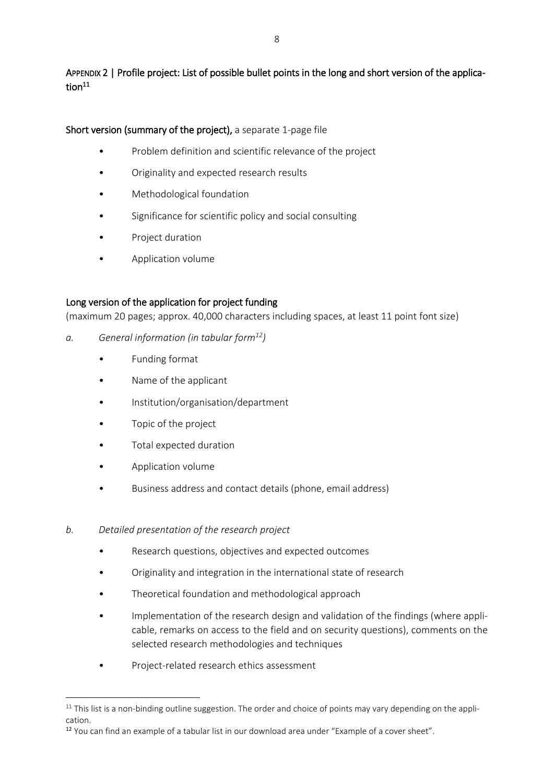APPENDIX 2 | Profile project: List of possible bullet points in the long and short version of the application $^{11}$ 

Short version (summary of the project), a separate 1-page file

- Problem definition and scientific relevance of the project
- Originality and expected research results
- Methodological foundation
- Significance for scientific policy and social consulting
- Project duration
- Application volume

## Long version of the application for project funding

(maximum 20 pages; approx. 40,000 characters including spaces, at least 11 point font size)

- *a. General information (in tabular form<sup>12</sup>)*
	- Funding format
	- Name of the applicant
	- Institution/organisation/department
	- Topic of the project
	- Total expected duration
	- Application volume

**.** 

- Business address and contact details (phone, email address)
- *b. Detailed presentation of the research project*
	- Research questions, objectives and expected outcomes
	- Originality and integration in the international state of research
	- Theoretical foundation and methodological approach
	- Implementation of the research design and validation of the findings (where applicable, remarks on access to the field and on security questions), comments on the selected research methodologies and techniques
	- Project-related research ethics assessment

 $11$  This list is a non-binding outline suggestion. The order and choice of points may vary depending on the application.

<sup>&</sup>lt;sup>12</sup> You can find an example of a tabular list in our download area under "Example of a cover sheet".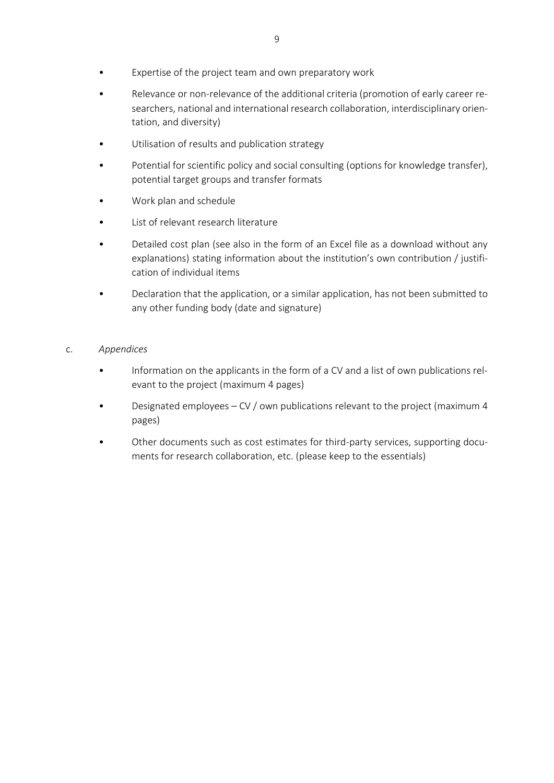- Relevance or non-relevance of the additional criteria (promotion of early career researchers, national and international research collaboration, interdisciplinary orientation, and diversity)
- Utilisation of results and publication strategy
- Potential for scientific policy and social consulting (options for knowledge transfer), potential target groups and transfer formats
- Work plan and schedule
- List of relevant research literature
- Detailed cost plan (see also in the form of an Excel file as a download without any explanations) stating information about the institution's own contribution / justification of individual items
- Declaration that the application, or a similar application, has not been submitted to any other funding body (date and signature)

#### c. *Appendices*

- Information on the applicants in the form of a CV and a list of own publications relevant to the project (maximum 4 pages)
- Designated employees CV / own publications relevant to the project (maximum 4 pages)
- Other documents such as cost estimates for third-party services, supporting documents for research collaboration, etc. (please keep to the essentials)